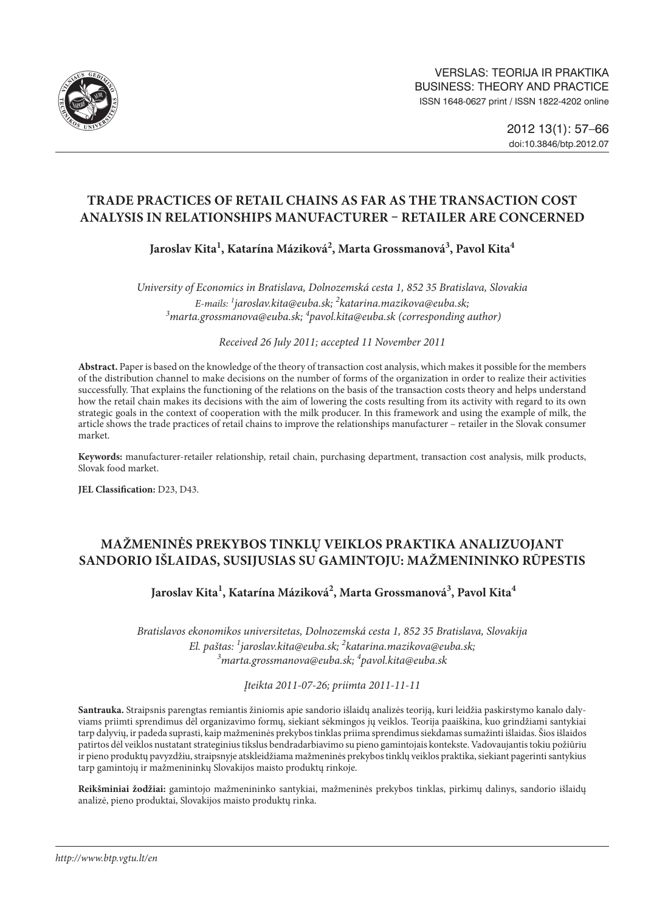

# **Trade Practices of Retail Chains as far as the Transaction Cost Analysis in Relationships Manufacturer – Retailer are Concerned**

Jaroslav Kita<sup>1</sup>, Katarína Máziková<sup>2</sup>, Marta Grossmanová<sup>3</sup>, Pavol Kita<sup>4</sup>

*University of Economics in Bratislava, Dolnozemská cesta 1, 852 35 Bratislava, Slovakia E-mails: 1 jaroslav[.kita@euba.sk;](mailto:kita@euba.sk) 2 [katarina.mazikova@euba.sk](mailto:2katarina.mazikova@euba.sk); 3 [marta.grossmanova@euba.sk](mailto:3marta.grossmanova@euba.sk); 4 [pavol.kita@euba.sk](mailto:4pavol.kita@euba.sk) (corresponding author)*

*Received 26 July 2011; accepted 11 November 2011*

**Abstract.** Paper is based on the knowledge of the theory of transaction cost analysis, which makes it possible for the members of the distribution channel to make decisions on the number of forms of the organization in order to realize their activities successfully. That explains the functioning of the relations on the basis of the transaction costs theory and helps understand how the retail chain makes its decisions with the aim of lowering the costs resulting from its activity with regard to its own strategic goals in the context of cooperation with the milk producer. In this framework and using the example of milk, the article shows the trade practices of retail chains to improve the relationships manufacturer – retailer in the Slovak consumer market.

**Keywords:** manufacturer-retailer relationship, retail chain, purchasing department, transaction cost analysis, milk products, Slovak food market.

**JEL Classification:** D23, D43.

# **mažmeninės prekybos tinklų veiklos praktika analizuojant sandorio išlaidas, susijusias su gamintoju: mažmenininko rūpestis**

## Jaroslav Kita<sup>1</sup>, Katarína Máziková<sup>2</sup>, Marta Grossmanová<sup>3</sup>, Pavol Kita<sup>4</sup>

*Bratislavos ekonomikos universitetas, Dolnozemská cesta 1, 852 35 Bratislava, Slovakija El. paštas: 1 jaroslav[.kita@euba.sk;](mailto:kita@euba.sk) 2 [katarina.mazikova@euba.sk](mailto:2katarina.mazikova@euba.sk); 3 [marta.grossmanova@euba.sk](mailto:3marta.grossmanova@euba.sk); 4 [pavol.kita@euba.sk](mailto:4pavol.kita@euba.sk)*

*Įteikta 2011-07-26; priimta 2011-11-11*

**Santrauka.** Straipsnis parengtas remiantis žiniomis apie sandorio išlaidų analizės teoriją, kuri leidžia paskirstymo kanalo dalyviams priimti sprendimus dėl organizavimo formų, siekiant sėkmingos jų veiklos. Teorija paaiškina, kuo grindžiami santykiai tarp dalyvių, ir padeda suprasti, kaip mažmeninės prekybos tinklas priima sprendimus siekdamas sumažinti išlaidas. Šios išlaidos patirtos dėl veiklos nustatant strateginius tikslus bendradarbiavimo su pieno gamintojais kontekste. Vadovaujantis tokiu požiūriu ir pieno produktų pavyzdžiu, straipsnyje atskleidžiama mažmeninės prekybos tinklų veiklos praktika, siekiant pagerinti santykius tarp gamintojų ir mažmenininkų Slovakijos maisto produktų rinkoje.

**Reikšminiai žodžiai:** gamintojo mažmenininko santykiai, mažmeninės prekybos tinklas, pirkimų dalinys, sandorio išlaidų analizė, pieno produktai, Slovakijos maisto produktų rinka.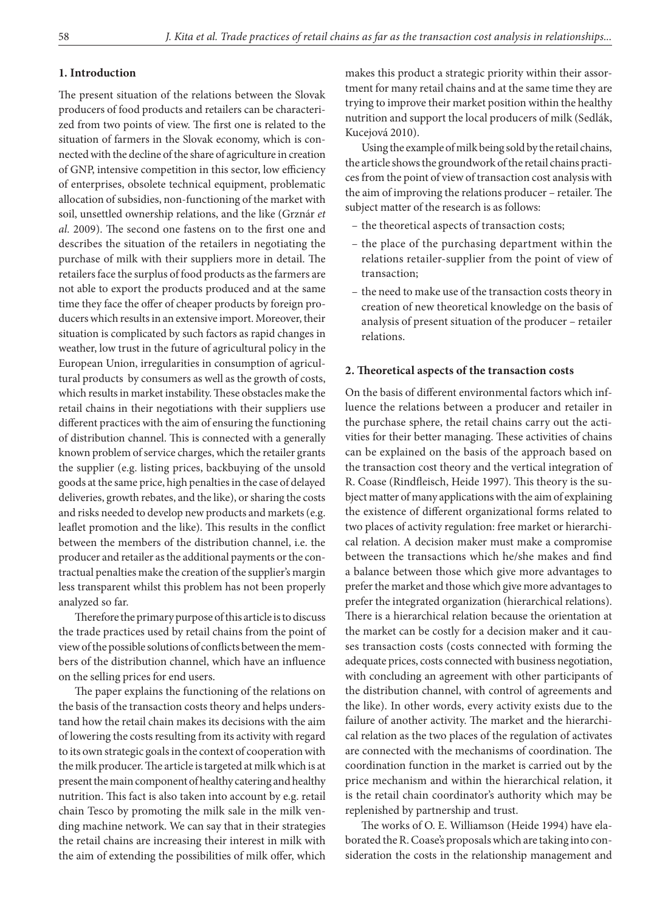### **1. Introduction**

The present situation of the relations between the Slovak producers of food products and retailers can be characterized from two points of view. The first one is related to the situation of farmers in the Slovak economy, which is connected with the decline of the share of agriculture in creation of GNP, intensive competition in this sector, low efficiency of enterprises, obsolete technical equipment, problematic allocation of subsidies, non-functioning of the market with soil, unsettled ownership relations, and the like (Grznár *et al.* 2009). The second one fastens on to the first one and describes the situation of the retailers in negotiating the purchase of milk with their suppliers more in detail. The retailers face the surplus of food products as the farmers are not able to export the products produced and at the same time they face the offer of cheaper products by foreign producers which results in an extensive import. Moreover, their situation is complicated by such factors as rapid changes in weather, low trust in the future of agricultural policy in the European Union, irregularities in consumption of agricultural products by consumers as well as the growth of costs, which results in market instability. These obstacles make the retail chains in their negotiations with their suppliers use different practices with the aim of ensuring the functioning of distribution channel. This is connected with a generally known problem of service charges, which the retailer grants the supplier (e.g. listing prices, backbuying of the unsold goods at the same price, high penalties in the case of delayed deliveries, growth rebates, and the like), or sharing the costs and risks needed to develop new products and markets (e.g. leaflet promotion and the like). This results in the conflict between the members of the distribution channel, i.e. the producer and retailer as the additional payments or the contractual penalties make the creation of the supplier's margin less transparent whilst this problem has not been properly analyzed so far.

Therefore the primary purpose of this article is to discuss the trade practices used by retail chains from the point of view of the possible solutions of conflicts between the members of the distribution channel, which have an influence on the selling prices for end users.

The paper explains the functioning of the relations on the basis of the transaction costs theory and helps understand how the retail chain makes its decisions with the aim of lowering the costs resulting from its activity with regard to its own strategic goals in the context of cooperation with the milk producer. The article is targeted at milk which is at present the main component of healthy catering and healthy nutrition. This fact is also taken into account by e.g. retail chain Tesco by promoting the milk sale in the milk vending machine network. We can say that in their strategies the retail chains are increasing their interest in milk with the aim of extending the possibilities of milk offer, which

makes this product a strategic priority within their assortment for many retail chains and at the same time they are trying to improve their market position within the healthy nutrition and support the local producers of milk (Sedlák, Kucejová 2010).

Using the example of milk being sold by the retail chains, the article shows the groundwork of the retail chains practices from the point of view of transaction cost analysis with the aim of improving the relations producer – retailer. The subject matter of the research is as follows:

- the theoretical aspects of transaction costs;
- the place of the purchasing department within the relations retailer-supplier from the point of view of transaction;
- the need to make use of the transaction costs theory in creation of new theoretical knowledge on the basis of analysis of present situation of the producer – retailer relations.

#### **2. Theoretical aspects of the transaction costs**

On the basis of different environmental factors which influence the relations between a producer and retailer in the purchase sphere, the retail chains carry out the activities for their better managing. These activities of chains can be explained on the basis of the approach based on the transaction cost theory and the vertical integration of R. Coase (Rindfleisch, Heide 1997). This theory is the subject matter of many applications with the aim of explaining the existence of different organizational forms related to two places of activity regulation: free market or hierarchical relation. A decision maker must make a compromise between the transactions which he/she makes and find a balance between those which give more advantages to prefer the market and those which give more advantages to prefer the integrated organization (hierarchical relations). There is a hierarchical relation because the orientation at the market can be costly for a decision maker and it causes transaction costs (costs connected with forming the adequate prices, costs connected with business negotiation, with concluding an agreement with other participants of the distribution channel, with control of agreements and the like). In other words, every activity exists due to the failure of another activity. The market and the hierarchical relation as the two places of the regulation of activates are connected with the mechanisms of coordination. The coordination function in the market is carried out by the price mechanism and within the hierarchical relation, it is the retail chain coordinator's authority which may be replenished by partnership and trust.

The works of O. E. Williamson (Heide 1994) have elaborated the R. Coase's proposals which are taking into consideration the costs in the relationship management and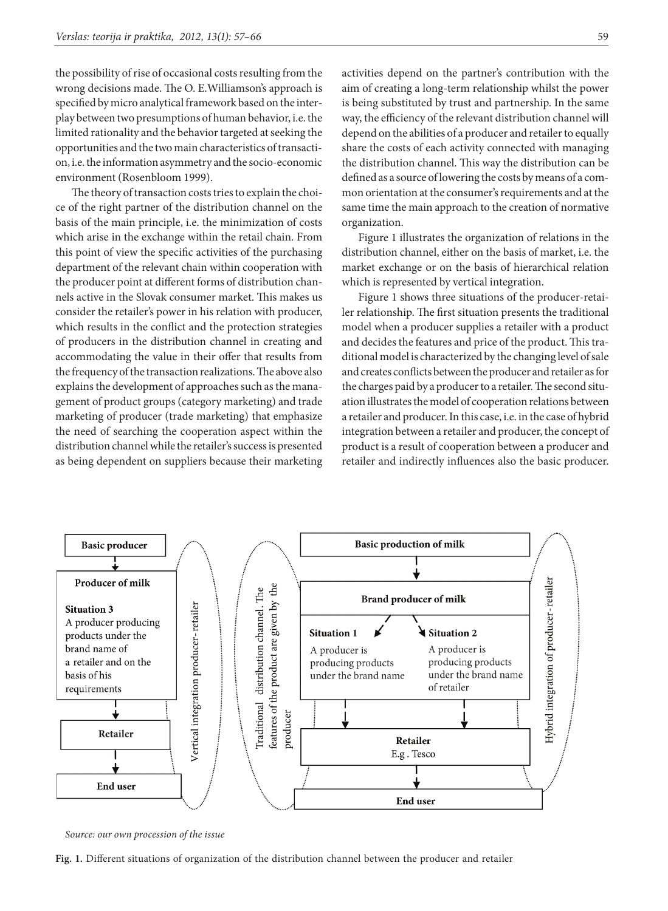the possibility of rise of occasional costs resulting from the wrong decisions made. The O. E.Williamson's approach is specified by micro analytical framework based on the interplay between two presumptions of human behavior, i.e. the limited rationality and the behavior targeted at seeking the opportunities and the two main characteristics of transaction, i.e. the information asymmetry and the socio-economic environment (Rosenbloom 1999).

The theory of transaction costs tries to explain the choice of the right partner of the distribution channel on the basis of the main principle, i.e. the minimization of costs which arise in the exchange within the retail chain. From this point of view the specific activities of the purchasing department of the relevant chain within cooperation with the producer point at different forms of distribution channels active in the Slovak consumer market. This makes us consider the retailer's power in his relation with producer, which results in the conflict and the protection strategies of producers in the distribution channel in creating and accommodating the value in their offer that results from the frequency of the transaction realizations. The above also explains the development of approaches such asthe management of product groups (category marketing) and trade marketing of producer (trade marketing) that emphasize the need of searching the cooperation aspect within the distribution channel while the retailer's success is presented as being dependent on suppliers because their marketing activities depend on the partner's contribution with the aim of creating a long-term relationship whilst the power is being substituted by trust and partnership. In the same way, the efficiency of the relevant distribution channel will depend on the abilities of a producer and retailer to equally share the costs of each activity connected with managing the distribution channel. This way the distribution can be defined as a source of lowering the costs by means of a common orientation at the consumer's requirements and at the same time the main approach to the creation of normative organization.

figure 1 illustrates the organization of relations in the distribution channel, either on the basis of market, i.e. the market exchange or on the basis of hierarchical relation which is represented by vertical integration.

figure 1 shows three situations of the producer-retailer relationship. The first situation presents the traditional model when a producer supplies a retailer with a product and decides the features and price of the product. This traditional model is characterized by the changing level of sale and creates conflicts between the producer and retailer as for the charges paid by a producer to a retailer. The second situation illustrates the model of cooperation relations between a retailer and producer. In this case, i.e. in the case of hybrid integration between a retailer and producer, the concept of product is a result of cooperation between a producer and retailer and indirectly influences also the basic producer.



*Source: our own procession of the issue*

**Fig. 1.** Different situations of organization of the distribution channel between the producer and retailer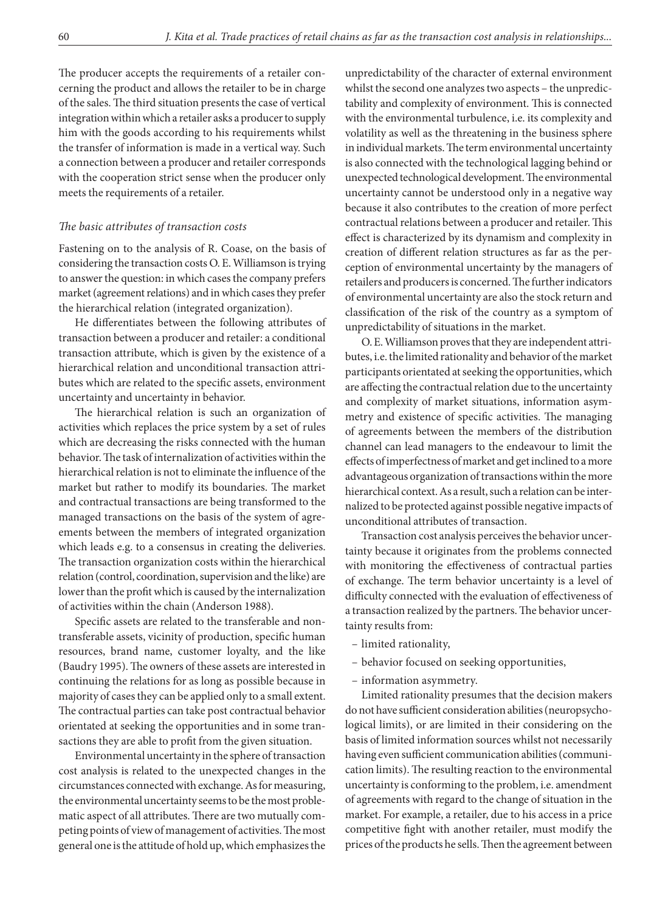The producer accepts the requirements of a retailer concerning the product and allows the retailer to be in charge of the sales. The third situation presents the case of vertical integration within which a retailer asks a producer to supply him with the goods according to his requirements whilst the transfer of information is made in a vertical way. Such a connection between a producer and retailer corresponds with the cooperation strict sense when the producer only meets the requirements of a retailer.

#### *The basic attributes of transaction costs*

Fastening on to the analysis of R. Coase, on the basis of considering the transaction costs O. E. Williamson is trying to answer the question: in which cases the company prefers market (agreement relations) and in which cases they prefer the hierarchical relation (integrated organization).

He differentiates between the following attributes of transaction between a producer and retailer: a conditional transaction attribute, which is given by the existence of a hierarchical relation and unconditional transaction attributes which are related to the specific assets, environment uncertainty and uncertainty in behavior.

The hierarchical relation is such an organization of activities which replaces the price system by a set of rules which are decreasing the risks connected with the human behavior. The task of internalization of activities within the hierarchical relation is not to eliminate the influence of the market but rather to modify its boundaries. The market and contractual transactions are being transformed to the managed transactions on the basis of the system of agreements between the members of integrated organization which leads e.g. to a consensus in creating the deliveries. The transaction organization costs within the hierarchical relation (control, coordination, supervision and the like) are lower than the profit which is caused by the internalization of activities within the chain (Anderson 1988).

Specific assets are related to the transferable and nontransferable assets, vicinity of production, specific human resources, brand name, customer loyalty, and the like (Baudry 1995). The owners of these assets are interested in continuing the relations for as long as possible because in majority of cases they can be applied only to a small extent. The contractual parties can take post contractual behavior orientated at seeking the opportunities and in some transactions they are able to profit from the given situation.

Environmental uncertainty in the sphere of transaction cost analysis is related to the unexpected changes in the circumstances connected with exchange. As for measuring, the environmental uncertainty seems to be the most problematic aspect of all attributes. There are two mutually competing points of view of management of activities. The most general one is the attitude of hold up, which emphasizes the

unpredictability of the character of external environment whilst the second one analyzes two aspects – the unpredictability and complexity of environment. This is connected with the environmental turbulence, i.e. its complexity and volatility as well as the threatening in the business sphere in individual markets. The term environmental uncertainty is also connected with the technological lagging behind or unexpected technological development. The environmental uncertainty cannot be understood only in a negative way because it also contributes to the creation of more perfect contractual relations between a producer and retailer. This effect is characterized by its dynamism and complexity in creation of different relation structures as far as the perception of environmental uncertainty by the managers of retailers and producers is concerned. The further indicators of environmental uncertainty are also the stock return and classification of the risk of the country as a symptom of unpredictability of situations in the market.

O. E. Williamson proves that they are independent attributes, i.e. the limited rationality and behavior of the market participants orientated at seeking the opportunities, which are affecting the contractual relation due to the uncertainty and complexity of market situations, information asymmetry and existence of specific activities. The managing of agreements between the members of the distribution channel can lead managers to the endeavour to limit the effects of imperfectness of market and get inclined to a more advantageous organization of transactions within the more hierarchical context. As a result, such a relation can be internalized to be protected against possible negative impacts of unconditional attributes of transaction.

Transaction cost analysis perceives the behavior uncertainty because it originates from the problems connected with monitoring the effectiveness of contractual parties of exchange. The term behavior uncertainty is a level of difficulty connected with the evaluation of effectiveness of a transaction realized by the partners. The behavior uncertainty results from:

- limited rationality,
- behavior focused on seeking opportunities,
- information asymmetry.

Limited rationality presumes that the decision makers do not have sufficient consideration abilities (neuropsychological limits), or are limited in their considering on the basis of limited information sources whilst not necessarily having even sufficient communication abilities (communication limits). The resulting reaction to the environmental uncertainty is conforming to the problem, i.e. amendment of agreements with regard to the change of situation in the market. For example, a retailer, due to his access in a price competitive fight with another retailer, must modify the prices of the products he sells. Then the agreement between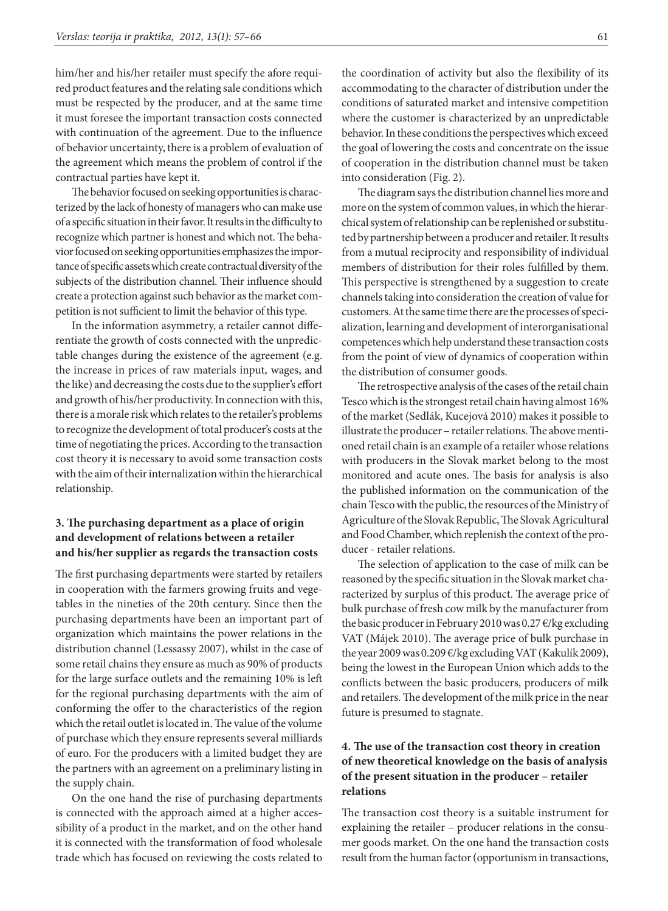him/her and his/her retailer must specify the afore required product features and the relating sale conditions which must be respected by the producer, and at the same time it must foresee the important transaction costs connected with continuation of the agreement. Due to the influence of behavior uncertainty, there is a problem of evaluation of the agreement which means the problem of control if the contractual parties have kept it.

The behavior focused on seeking opportunities is characterized by the lack of honesty of managers who can make use of aspecific situation in their favor. It results in the difficulty to recognize which partner is honest and which not. The behavior focused on seeking opportunities emphasizes the importance of specific assets which create contractual diversity of the subjects of the distribution channel. Their influence should create a protection against such behavior as the market competition is not sufficient to limit the behavior of this type.

In the information asymmetry, a retailer cannot differentiate the growth of costs connected with the unpredictable changes during the existence of the agreement (e.g. the increase in prices of raw materials input, wages, and the like) and decreasing the costs due to the supplier's effort and growth of his/her productivity. In connection with this, there is a morale risk which relates to the retailer's problems to recognize the development of total producer's costs at the time of negotiating the prices. According to the transaction cost theory it is necessary to avoid some transaction costs with the aim of their internalization within the hierarchical relationship.

## **3. The purchasing department as a place of origin and development of relations between a retailer and his/her supplier as regards the transaction costs**

The first purchasing departments were started by retailers in cooperation with the farmers growing fruits and vegetables in the nineties of the 20th century. Since then the purchasing departments have been an important part of organization which maintains the power relations in the distribution channel (Lessassy 2007), whilst in the case of some retail chains they ensure as much as 90% of products for the large surface outlets and the remaining 10% is left for the regional purchasing departments with the aim of conforming the offer to the characteristics of the region which the retail outlet is located in. The value of the volume of purchase which they ensure represents several milliards of euro. For the producers with a limited budget they are the partners with an agreement on a preliminary listing in the supply chain.

On the one hand the rise of purchasing departments is connected with the approach aimed at a higher accessibility of a product in the market, and on the other hand it is connected with the transformation of food wholesale trade which has focused on reviewing the costs related to the coordination of activity but also the flexibility of its accommodating to the character of distribution under the conditions of saturated market and intensive competition where the customer is characterized by an unpredictable behavior. In these conditions the perspectives which exceed the goal of lowering the costs and concentrate on the issue of cooperation in the distribution channel must be taken into consideration (Fig. 2).

The diagram says the distribution channel lies more and more on the system of common values, in which the hierarchical system of relationship can be replenished or substituted by partnership between aproducer and retailer. It results from a mutual reciprocity and responsibility of individual members of distribution for their roles fulfilled by them. This perspective is strengthened by a suggestion to create channels taking into consideration the creation of value for customers. At the same time there are the processes of specialization, learning and development of interorganisational competences which help understand these transaction costs from the point of view of dynamics of cooperation within the distribution of consumer goods.

The retrospective analysis of the cases of the retail chain Tesco which is the strongest retail chain having almost 16% of the market (Sedlák, Kucejová 2010) makes it possible to illustrate the producer – retailer relations. The above mentioned retail chain is an example of a retailer whose relations with producers in the Slovak market belong to the most monitored and acute ones. The basis for analysis is also the published information on the communication of the chain Tesco with the public, the resources of the Ministry of Agriculture of the Slovak Republic, The Slovak Agricultural and Food Chamber, which replenish the context of the producer - retailer relations.

The selection of application to the case of milk can be reasoned by the specific situation in the Slovak market characterized by surplus of this product. The average price of bulk purchase of fresh cow milk by the manufacturer from the basic producer in February 2010 was 0.27 €/kg excluding VAT (Májek 2010). The average price of bulk purchase in the year 2009 was 0.209 €/kg excluding VAT (Kakulík 2009), being the lowest in the European Union which adds to the conflicts between the basic producers, producers of milk and retailers. The development of the milk price in the near future is presumed to stagnate.

### **4. The use of the transaction cost theory in creation of new theoretical knowledge on the basis of analysis of the present situation in the producer – retailer relations**

The transaction cost theory is a suitable instrument for explaining the retailer – producer relations in the consumer goods market. On the one hand the transaction costs result from the human factor (opportunism in transactions,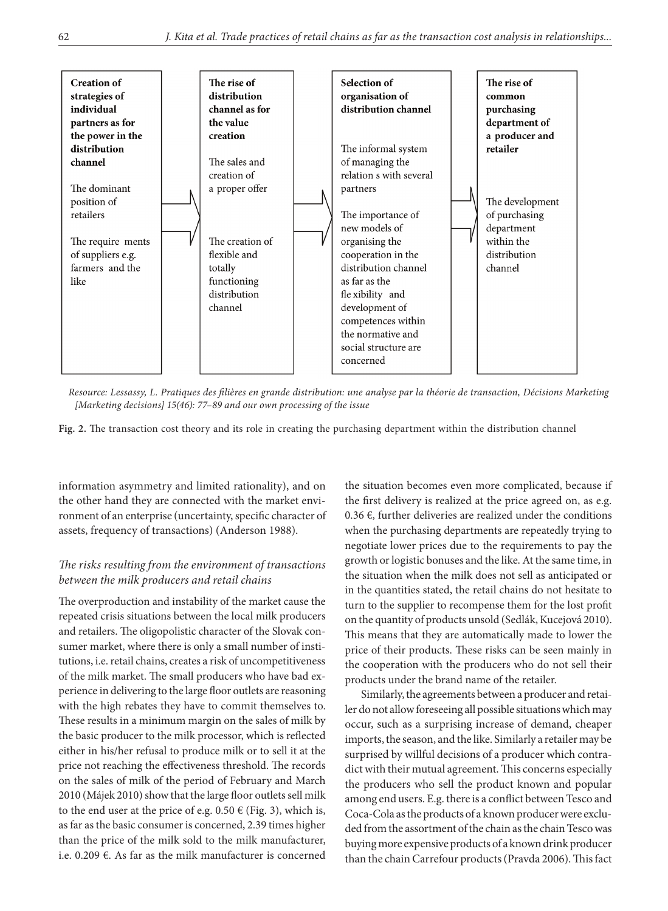

*Resource: Lessassy, L. Pratiques des filières en grande distribution: une analyse par la théorie de transaction, Décisions Marketing [Marketing decisions] 15(46): 77–89 and our own processing of the issue*

**Fig. 2.** The transaction cost theory and its role in creating the purchasing department within the distribution channel

information asymmetry and limited rationality), and on the other hand they are connected with the market environment of an enterprise (uncertainty, specific character of assets, frequency of transactions) (Anderson 1988).

### *The risks resulting from the environment of transactions between the milk producers and retail chains*

The overproduction and instability of the market cause the repeated crisis situations between the local milk producers and retailers. The oligopolistic character of the Slovak consumer market, where there is only a small number of institutions, i.e. retail chains, creates a risk of uncompetitiveness of the milk market. The small producers who have bad experience in delivering to the large floor outlets are reasoning with the high rebates they have to commit themselves to. These results in a minimum margin on the sales of milk by the basic producer to the milk processor, which is reflected either in his/her refusal to produce milk or to sell it at the price not reaching the effectiveness threshold. The records on the sales of milk of the period of February and March 2010 (Májek 2010) show that the large floor outlets sell milk to the end user at the price of e.g.  $0.50 \in$  (Fig. 3), which is, as far asthe basic consumer is concerned, 2.39 times higher than the price of the milk sold to the milk manufacturer, i.e. 0.209  $\epsilon$ . As far as the milk manufacturer is concerned the situation becomes even more complicated, because if the first delivery is realized at the price agreed on, as e.g. 0.36 €, further deliveries are realized under the conditions when the purchasing departments are repeatedly trying to negotiate lower prices due to the requirements to pay the growth or logistic bonuses and the like. At the same time, in the situation when the milk does not sell as anticipated or in the quantities stated, the retail chains do not hesitate to turn to the supplier to recompense them for the lost profit on the quantity of products unsold (Sedlák, Kucejová 2010). This means that they are automatically made to lower the price of their products. These risks can be seen mainly in the cooperation with the producers who do not sell their products under the brand name of the retailer.

Similarly, the agreements between a producer and retailer do not allow foreseeing all possible situations which may occur, such as a surprising increase of demand, cheaper imports, the season, and the like. Similarly a retailer may be surprised by willful decisions of a producer which contradict with their mutual agreement. This concerns especially the producers who sell the product known and popular among end users. E.g. there is a conflict between Tesco and Coca-Cola as the products of a known producer were excluded from the assortment of the chain as the chain Tesco was buying more expensive products of aknown drink producer than the chain Carrefour products (Pravda 2006). This fact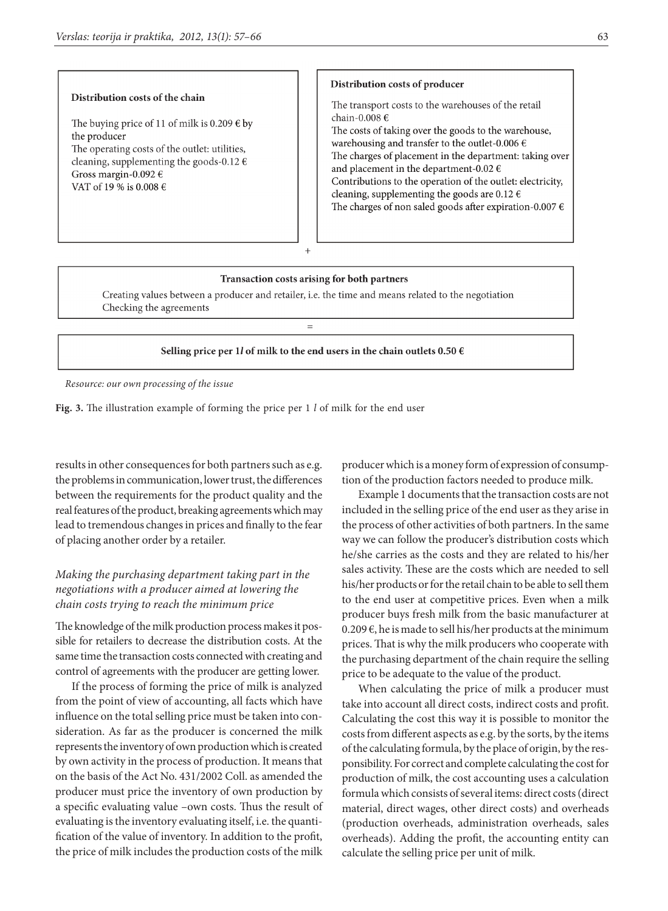#### Distribution costs of the chain

The buying price of 11 of milk is 0.209  $\epsilon$  by the producer The operating costs of the outlet: utilities, cleaning, supplementing the goods-0.12  $\epsilon$ Gross margin-0.092  $\epsilon$ VAT of 19 % is 0.008  $\epsilon$ 

#### Distribution costs of producer

The transport costs to the warehouses of the retail chain-0.008 € The costs of taking over the goods to the warehouse, warehousing and transfer to the outlet-0.006  $\epsilon$ The charges of placement in the department: taking over and placement in the department-0.02  $\epsilon$ Contributions to the operation of the outlet: electricity, cleaning, supplementing the goods are 0.12  $\epsilon$ 

The charges of non saled goods after expiration-0.007  $\epsilon$ 

#### Transaction costs arising for both partners

Creating values between a producer and retailer, i.e. the time and means related to the negotiation Checking the agreements

 $=$ 

 $\ddot{}$ 

#### Selling price per 1l of milk to the end users in the chain outlets 0.50  $\epsilon$

*Resource: our own processing of the issue*

**Fig. 3.** The illustration example of forming the price per 1 *l* of milk for the end user

results in other consequences for both partners such as e.g. the problems in communication, lower trust, the differences between the requirements for the product quality and the real features of the product, breaking agreements which may lead to tremendous changes in prices and finally to the fear of placing another order by a retailer.

## *Making the purchasing department taking part in the negotiations with a producer aimed at lowering the chain costs trying to reach the minimum price*

The knowledge of the milk production process makes it possible for retailers to decrease the distribution costs. At the same time the transaction costs connected with creating and control of agreements with the producer are getting lower.

If the process of forming the price of milk is analyzed from the point of view of accounting, all facts which have influence on the total selling price must be taken into consideration. As far as the producer is concerned the milk represents the inventory of own production which is created by own activity in the process of production. It means that on the basis of the Act No. 431/2002 Coll. as amended the producer must price the inventory of own production by a specific evaluating value –own costs. Thus the result of evaluating is the inventory evaluating itself, i.e. the quantification of the value of inventory. In addition to the profit, the price of milk includes the production costs of the milk

producer which is a money form of expression of consumption of the production factors needed to produce milk.

Example 1 documents that the transaction costs are not included in the selling price of the end user as they arise in the process of other activities of both partners. In the same way we can follow the producer's distribution costs which he/she carries as the costs and they are related to his/her sales activity. These are the costs which are needed to sell his/her products or for the retail chain to be able to sell them to the end user at competitive prices. Even when a milk producer buys fresh milk from the basic manufacturer at 0.209 €, he is made to sell his/her products at the minimum prices. That is why the milk producers who cooperate with the purchasing department of the chain require the selling price to be adequate to the value of the product.

When calculating the price of milk a producer must take into account all direct costs, indirect costs and profit. Calculating the cost this way it is possible to monitor the costs from different aspects as e.g. by the sorts, by the items of the calculating formula, by the place of origin, by the responsibility. For correct and complete calculating the cost for production of milk, the cost accounting uses a calculation formula which consists of several items: direct costs (direct material, direct wages, other direct costs) and overheads (production overheads, administration overheads, sales overheads). Adding the profit, the accounting entity can calculate the selling price per unit of milk.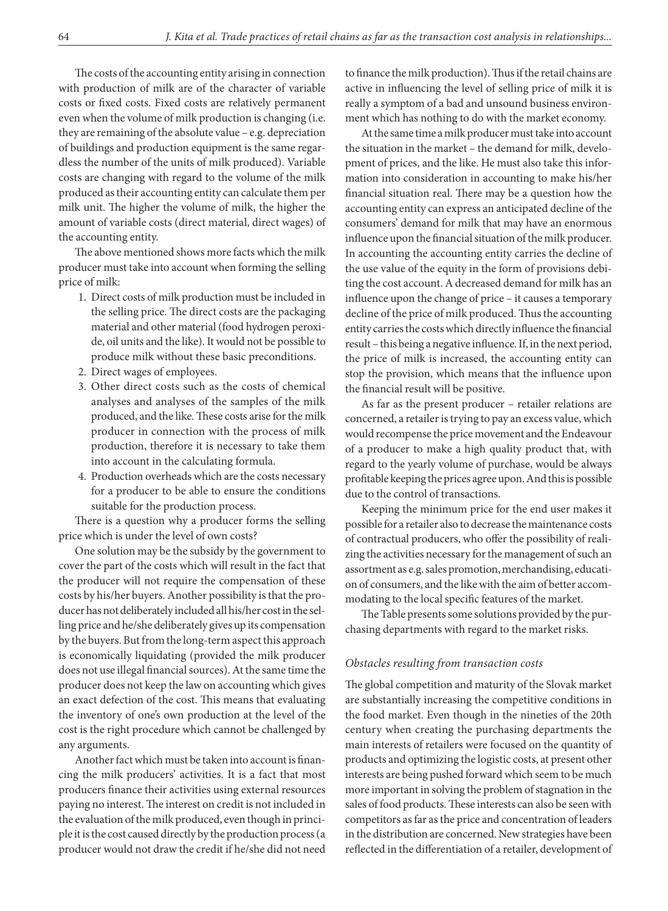The costs of the accounting entity arising in connection with production of milk are of the character of variable costs or fixed costs. Fixed costs are relatively permanent even when the volume of milk production is changing (i.e. they are remaining of the absolute value – e.g. depreciation of buildings and production equipment is the same regardless the number of the units of milk produced). Variable costs are changing with regard to the volume of the milk produced as their accounting entity can calculate them per milk unit. The higher the volume of milk, the higher the amount of variable costs (direct material, direct wages) of the accounting entity.

The above mentioned shows more facts which the milk producer must take into account when forming the selling price of milk:

- 1. Direct costs of milk production must be included in the selling price. The direct costs are the packaging material and other material (food hydrogen peroxide, oil units and the like). It would not be possible to produce milk without these basic preconditions.
- 2. Direct wages of employees.
- 3. Other direct costs such as the costs of chemical analyses and analyses of the samples of the milk produced, and the like. These costs arise for the milk producer in connection with the process of milk production, therefore it is necessary to take them into account in the calculating formula.
- 4. Production overheads which are the costs necessary for a producer to be able to ensure the conditions suitable for the production process.

There is a question why a producer forms the selling price which is under the level of own costs?

One solution may be the subsidy by the government to cover the part of the costs which will result in the fact that the producer will not require the compensation of these costs by his/her buyers. Another possibility is that the producer has not deliberately included all his/her cost in the selling price and he/she deliberately gives up its compensation by the buyers. But from the long-term aspect this approach is economically liquidating (provided the milk producer does not use illegal financial sources). At the same time the producer does not keep the law on accounting which gives an exact defection of the cost. This means that evaluating the inventory of one's own production at the level of the cost is the right procedure which cannot be challenged by any arguments.

Another fact which must be taken into account is financing the milk producers' activities. It is a fact that most producers finance their activities using external resources paying no interest. The interest on credit is not included in the evaluation of the milk produced, even though in principle it is the cost caused directly by the production process (a producer would not draw the credit if he/she did not need to finance the milk production). Thus if the retail chains are active in influencing the level of selling price of milk it is really a symptom of a bad and unsound business environment which has nothing to do with the market economy.

At the same time a milk producer must take into account the situation in the market – the demand for milk, development of prices, and the like. He must also take this information into consideration in accounting to make his/her financial situation real. There may be a question how the accounting entity can express an anticipated decline of the consumers' demand for milk that may have an enormous influence upon the financial situation of the milk producer. In accounting the accounting entity carries the decline of the use value of the equity in the form of provisions debiting the cost account. A decreased demand for milk has an influence upon the change of price – it causes a temporary decline of the price of milk produced. Thus the accounting entity carries the costs which directly influence the financial result – this being anegative influence. If, in the next period, the price of milk is increased, the accounting entity can stop the provision, which means that the influence upon the financial result will be positive.

As far as the present producer – retailer relations are concerned, a retailer is trying to pay an excess value, which would recompense the price movement and the Endeavour of a producer to make a high quality product that, with regard to the yearly volume of purchase, would be always profitable keeping the prices agree upon. And this is possible due to the control of transactions.

Keeping the minimum price for the end user makes it possible for a retailer also to decrease the maintenance costs of contractual producers, who offer the possibility of realizing the activities necessary for the management of such an assortment as e.g. sales promotion, merchandising, education of consumers, and the like with the aim of better accommodating to the local specific features of the market.

The Table presents some solutions provided by the purchasing departments with regard to the market risks.

### *Obstacles resulting from transaction costs*

The global competition and maturity of the Slovak market are substantially increasing the competitive conditions in the food market. Even though in the nineties of the 20th century when creating the purchasing departments the main interests of retailers were focused on the quantity of products and optimizing the logistic costs, at present other interests are being pushed forward which seem to be much more important in solving the problem of stagnation in the sales of food products. These interests can also be seen with competitors as far asthe price and concentration of leaders in the distribution are concerned. New strategies have been reflected in the differentiation of a retailer, development of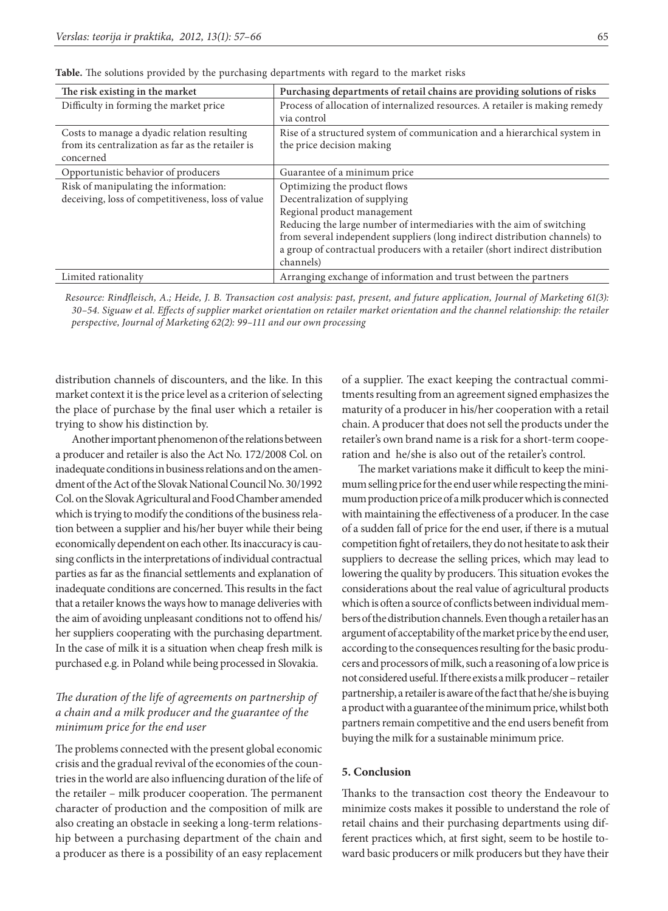| The risk existing in the market                   | Purchasing departments of retail chains are providing solutions of risks      |
|---------------------------------------------------|-------------------------------------------------------------------------------|
| Difficulty in forming the market price            | Process of allocation of internalized resources. A retailer is making remedy  |
|                                                   | via control                                                                   |
| Costs to manage a dyadic relation resulting       | Rise of a structured system of communication and a hierarchical system in     |
| from its centralization as far as the retailer is | the price decision making                                                     |
| concerned                                         |                                                                               |
| Opportunistic behavior of producers               | Guarantee of a minimum price                                                  |
| Risk of manipulating the information:             | Optimizing the product flows                                                  |
| deceiving, loss of competitiveness, loss of value | Decentralization of supplying                                                 |
|                                                   | Regional product management                                                   |
|                                                   | Reducing the large number of intermediaries with the aim of switching         |
|                                                   | from several independent suppliers (long indirect distribution channels) to   |
|                                                   | a group of contractual producers with a retailer (short indirect distribution |
|                                                   | channels)                                                                     |
| Limited rationality                               | Arranging exchange of information and trust between the partners              |

**Table.** The solutions provided by the purchasing departments with regard to the market risks

*Resource: Rindfleisch, A.; Heide, J. B. Transaction cost analysis: past, present, and future application, Journal of Marketing 61(3): 30–54. Siguaw et al. Effects of supplier market orientation on retailer market orientation and the channel relationship: the retailer perspective, Journal of Marketing 62(2): 99–111 and our own processing*

distribution channels of discounters, and the like. In this market context it is the price level as a criterion of selecting the place of purchase by the final user which a retailer is trying to show his distinction by.

Another important phenomenon of the relations between a producer and retailer is also the Act No. 172/2008 Col. on inadequate conditions in business relations and on the amendment of the Act of the Slovak National Council No. 30/1992 Col. on the Slovak Agricultural and Food Chamber amended which is trying to modify the conditions of the business relation between a supplier and his/her buyer while their being economically dependent on each other. Its inaccuracy is causing conflicts in the interpretations of individual contractual parties as far as the financial settlements and explanation of inadequate conditions are concerned. This results in the fact that a retailer knows the ways how to manage deliveries with the aim of avoiding unpleasant conditions not to offend his/ her suppliers cooperating with the purchasing department. In the case of milk it is a situation when cheap fresh milk is purchased e.g. in Poland while being processed in Slovakia.

## *The duration of the life of agreements on partnership of a chain and a milk producer and the guarantee of the minimum price for the end user*

The problems connected with the present global economic crisis and the gradual revival of the economies of the countries in the world are also influencing duration of the life of the retailer – milk producer cooperation. The permanent character of production and the composition of milk are also creating an obstacle in seeking a long-term relationship between a purchasing department of the chain and a producer as there is a possibility of an easy replacement

of a supplier. The exact keeping the contractual commitments resulting from an agreement signed emphasizes the maturity of a producer in his/her cooperation with a retail chain. A producer that does not sell the products under the retailer's own brand name is a risk for a short-term cooperation and he/she is also out of the retailer's control.

The market variations make it difficult to keep the minimum selling price for the end user while respecting the minimum production price of a milk producer which is connected with maintaining the effectiveness of a producer. In the case of a sudden fall of price for the end user, if there is a mutual competition fight of retailers, they do not hesitate to ask their suppliers to decrease the selling prices, which may lead to lowering the quality by producers. This situation evokes the considerations about the real value of agricultural products which is often a source of conflicts between individual members of the distribution channels. Even though aretailer has an argument of acceptability of the market price by the end user, according to the consequences resulting for the basic producers and processors of milk, such a reasoning of a low price is not considered useful. If there exists amilk producer – retailer partnership, a retailer is aware of the fact that he/she is buying aproduct with aguarantee of the minimum price, whilst both partners remain competitive and the end users benefit from buying the milk for a sustainable minimum price.

### **5. Conclusion**

Thanks to the transaction cost theory the Endeavour to minimize costs makes it possible to understand the role of retail chains and their purchasing departments using different practices which, at first sight, seem to be hostile toward basic producers or milk producers but they have their